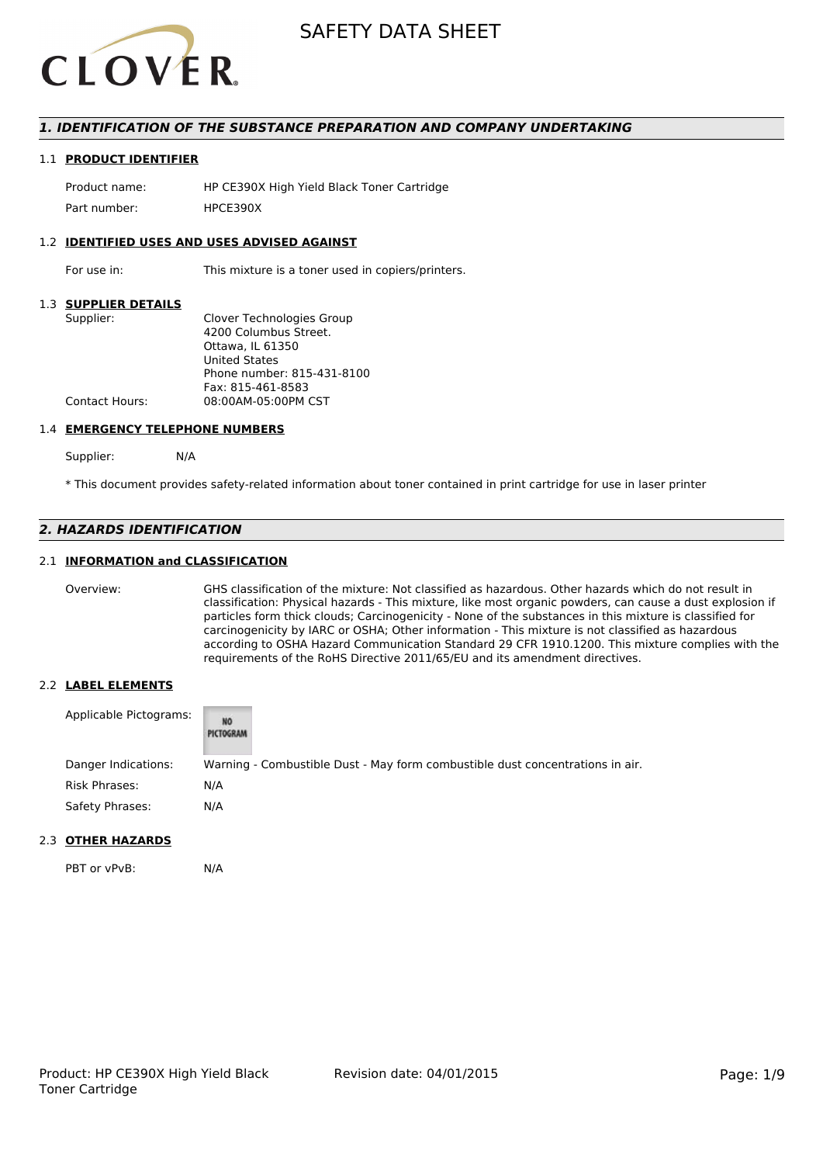

## *1. IDENTIFICATION OF THE SUBSTANCE PREPARATION AND COMPANY UNDERTAKING*

#### 1.1 **PRODUCT IDENTIFIER**

Product name: HP CE390X High Yield Black Toner Cartridge Part number: HPCE390X

#### 1.2 **IDENTIFIED USES AND USES ADVISED AGAINST**

For use in: This mixture is a toner used in copiers/printers.

#### 1.3 **SUPPLIER DETAILS**

| Supplier:             | Clover Technologies Group  |
|-----------------------|----------------------------|
|                       | 4200 Columbus Street.      |
|                       | Ottawa. IL 61350           |
|                       | <b>United States</b>       |
|                       | Phone number: 815-431-8100 |
|                       | Fax: 815-461-8583          |
| <b>Contact Hours:</b> | 08:00AM-05:00PM CST        |
|                       |                            |

#### 1.4 **EMERGENCY TELEPHONE NUMBERS**

Supplier: N/A

\* This document provides safety-related information about toner contained in print cartridge for use in laser printer

## *2. HAZARDS IDENTIFICATION*

#### 2.1 **INFORMATION and CLASSIFICATION**

Overview: GHS classification of the mixture: Not classified as hazardous. Other hazards which do not result in classification: Physical hazards - This mixture, like most organic powders, can cause a dust explosion if particles form thick clouds; Carcinogenicity - None of the substances in this mixture is classified for carcinogenicity by IARC or OSHA; Other information - This mixture is not classified as hazardous according to OSHA Hazard Communication Standard 29 CFR 1910.1200. This mixture complies with the requirements of the RoHS Directive 2011/65/EU and its amendment directives.

#### 2.2 **LABEL ELEMENTS**

| Applicable Pictograms: | NO<br>PICTOGRAM |                                                                               |
|------------------------|-----------------|-------------------------------------------------------------------------------|
| Danger Indications:    |                 | Warning - Combustible Dust - May form combustible dust concentrations in air. |
| Risk Phrases:          | N/A             |                                                                               |
| Safety Phrases:        | N/A             |                                                                               |

#### 2.3 **OTHER HAZARDS**

PBT or vPvB: N/A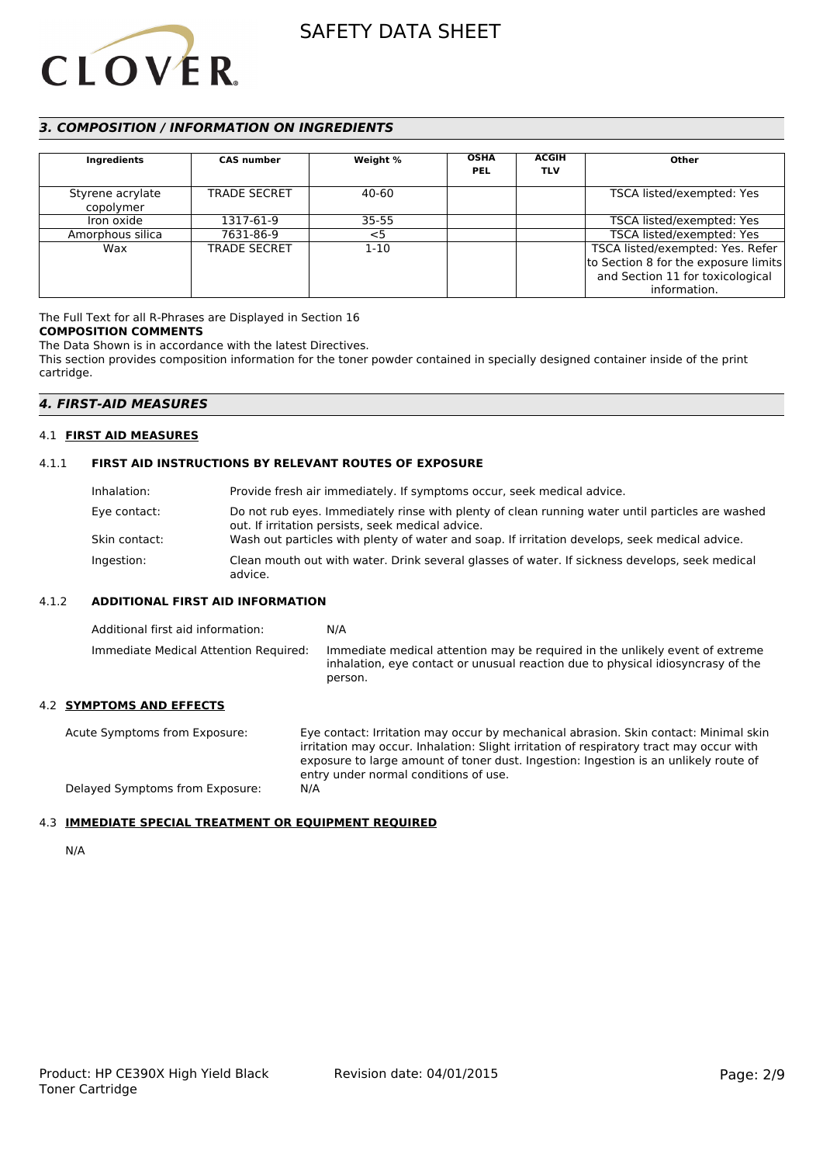

## *3. COMPOSITION / INFORMATION ON INGREDIENTS*

| Ingredients                   | <b>CAS number</b>   | Weight % | <b>OSHA</b><br><b>PEL</b> | <b>ACGIH</b><br><b>TLV</b> | Other                                |
|-------------------------------|---------------------|----------|---------------------------|----------------------------|--------------------------------------|
| Styrene acrylate<br>copolymer | <b>TRADE SECRET</b> | 40-60    |                           |                            | TSCA listed/exempted: Yes            |
| Iron oxide                    | 1317-61-9           | 35-55    |                           |                            | TSCA listed/exempted: Yes            |
| Amorphous silica              | 7631-86-9           | $<$ 5    |                           |                            | TSCA listed/exempted: Yes            |
| Wax                           | <b>TRADE SECRET</b> | $1 - 10$ |                           |                            | TSCA listed/exempted: Yes. Refer     |
|                               |                     |          |                           |                            | to Section 8 for the exposure limits |
|                               |                     |          |                           |                            | and Section 11 for toxicological     |
|                               |                     |          |                           |                            | information.                         |

## The Full Text for all R-Phrases are Displayed in Section 16

## **COMPOSITION COMMENTS**

The Data Shown is in accordance with the latest Directives.

This section provides composition information for the toner powder contained in specially designed container inside of the print cartridge.

## *4. FIRST-AID MEASURES*

### 4.1 **FIRST AID MEASURES**

## 4.1.1 **FIRST AID INSTRUCTIONS BY RELEVANT ROUTES OF EXPOSURE**

| Inhalation:   | Provide fresh air immediately. If symptoms occur, seek medical advice.                                                                                |
|---------------|-------------------------------------------------------------------------------------------------------------------------------------------------------|
| Eye contact:  | Do not rub eyes. Immediately rinse with plenty of clean running water until particles are washed<br>out. If irritation persists, seek medical advice. |
| Skin contact: | Wash out particles with plenty of water and soap. If irritation develops, seek medical advice.                                                        |
| Ingestion:    | Clean mouth out with water. Drink several glasses of water. If sickness develops, seek medical<br>advice.                                             |

#### 4.1.2 **ADDITIONAL FIRST AID INFORMATION**

| Additional first aid information:     | N/A                                                                                                                                                                        |
|---------------------------------------|----------------------------------------------------------------------------------------------------------------------------------------------------------------------------|
| Immediate Medical Attention Required: | Immediate medical attention may be required in the unlikely event of extreme<br>inhalation, eye contact or unusual reaction due to physical idiosyncrasy of the<br>person. |

#### 4.2 **SYMPTOMS AND EFFECTS**

Delayed Symptoms from Exposure:

Acute Symptoms from Exposure: Eye contact: Irritation may occur by mechanical abrasion. Skin contact: Minimal skin irritation may occur. Inhalation: Slight irritation of respiratory tract may occur with exposure to large amount of toner dust. Ingestion: Ingestion is an unlikely route of entry under normal conditions of use.<br>N/A

## 4.3 **IMMEDIATE SPECIAL TREATMENT OR EQUIPMENT REQUIRED**

N/A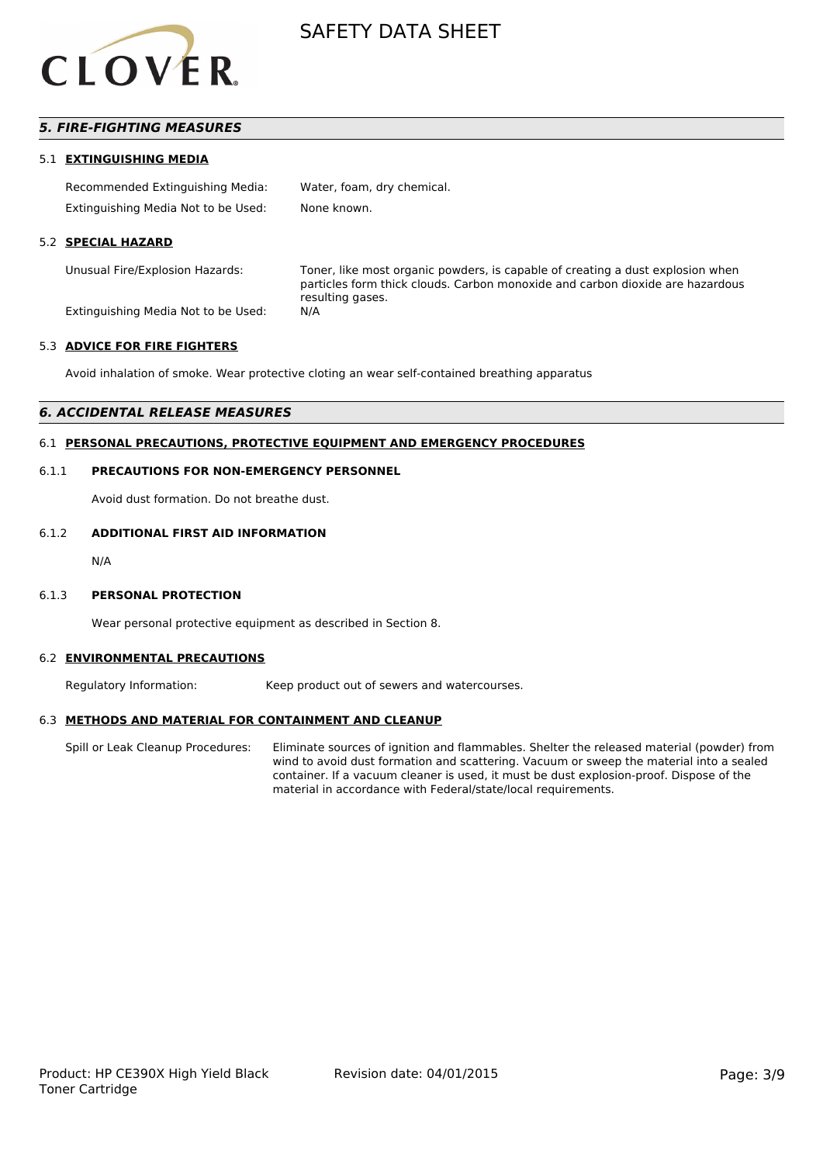

## *5. FIRE-FIGHTING MEASURES*

#### 5.1 **EXTINGUISHING MEDIA**

| Recommended Extinguishing Media:    | Water, foam, dry chemical. |
|-------------------------------------|----------------------------|
| Extinguishing Media Not to be Used: | None known.                |

#### 5.2 **SPECIAL HAZARD**

Unusual Fire/Explosion Hazards: Toner, like most organic powders, is capable of creating a dust explosion when particles form thick clouds. Carbon monoxide and carbon dioxide are hazardous resulting gases.

Extinguishing Media Not to be Used: N/A

#### 5.3 **ADVICE FOR FIRE FIGHTERS**

Avoid inhalation of smoke. Wear protective cloting an wear self-contained breathing apparatus

### *6. ACCIDENTAL RELEASE MEASURES*

#### 6.1 **PERSONAL PRECAUTIONS, PROTECTIVE EQUIPMENT AND EMERGENCY PROCEDURES**

#### 6.1.1 **PRECAUTIONS FOR NON-EMERGENCY PERSONNEL**

Avoid dust formation. Do not breathe dust.

#### 6.1.2 **ADDITIONAL FIRST AID INFORMATION**

N/A

#### 6.1.3 **PERSONAL PROTECTION**

Wear personal protective equipment as described in Section 8.

#### 6.2 **ENVIRONMENTAL PRECAUTIONS**

Regulatory Information: Keep product out of sewers and watercourses.

#### 6.3 **METHODS AND MATERIAL FOR CONTAINMENT AND CLEANUP**

Spill or Leak Cleanup Procedures: Eliminate sources of ignition and flammables. Shelter the released material (powder) from wind to avoid dust formation and scattering. Vacuum or sweep the material into a sealed container. If a vacuum cleaner is used, it must be dust explosion-proof. Dispose of the material in accordance with Federal/state/local requirements.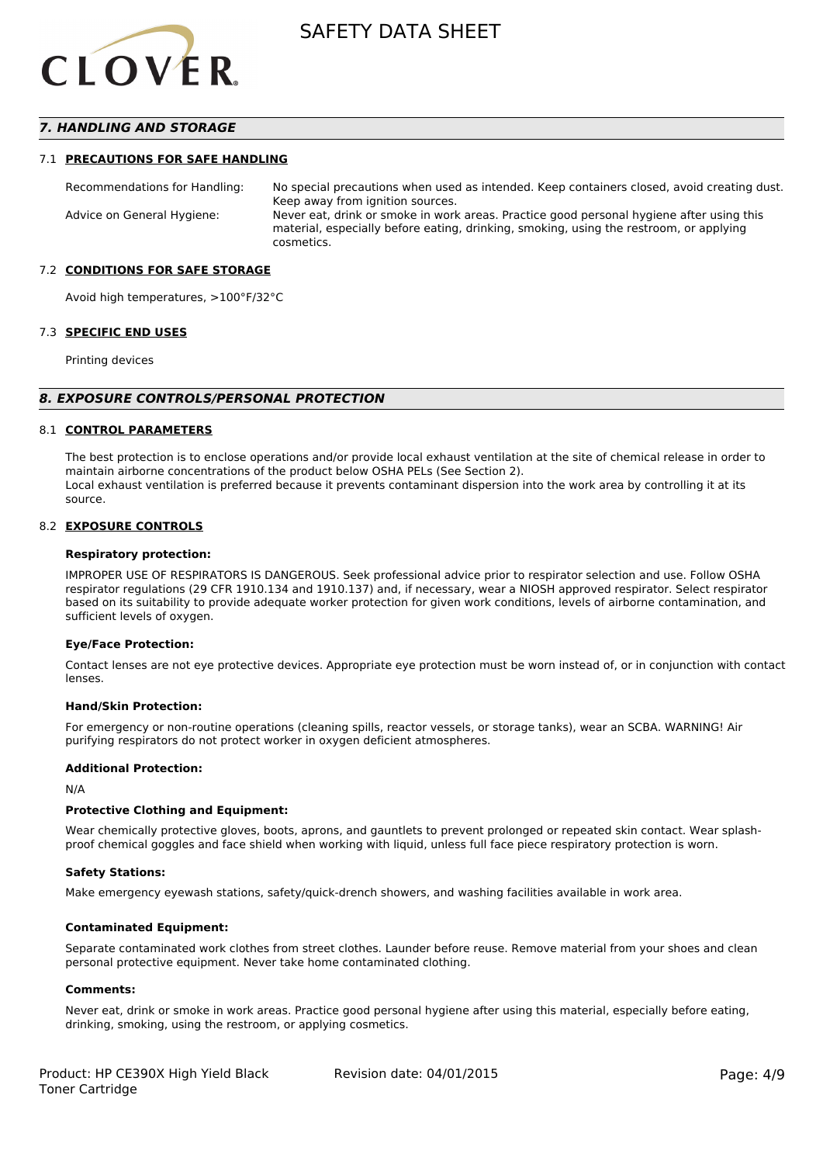

### *7. HANDLING AND STORAGE*

#### 7.1 **PRECAUTIONS FOR SAFE HANDLING**

Recommendations for Handling: No special precautions when used as intended. Keep containers closed, avoid creating dust. Keep away from ignition sources. Advice on General Hygiene: Never eat, drink or smoke in work areas. Practice good personal hygiene after using this material, especially before eating, drinking, smoking, using the restroom, or applying cosmetics.

#### 7.2 **CONDITIONS FOR SAFE STORAGE**

Avoid high temperatures, >100°F/32°C

#### 7.3 **SPECIFIC END USES**

Printing devices

#### *8. EXPOSURE CONTROLS/PERSONAL PROTECTION*

#### 8.1 **CONTROL PARAMETERS**

The best protection is to enclose operations and/or provide local exhaust ventilation at the site of chemical release in order to maintain airborne concentrations of the product below OSHA PELs (See Section 2). Local exhaust ventilation is preferred because it prevents contaminant dispersion into the work area by controlling it at its source.

#### 8.2 **EXPOSURE CONTROLS**

#### **Respiratory protection:**

IMPROPER USE OF RESPIRATORS IS DANGEROUS. Seek professional advice prior to respirator selection and use. Follow OSHA respirator regulations (29 CFR 1910.134 and 1910.137) and, if necessary, wear a NIOSH approved respirator. Select respirator based on its suitability to provide adequate worker protection for given work conditions, levels of airborne contamination, and sufficient levels of oxygen.

#### **Eye/Face Protection:**

Contact lenses are not eye protective devices. Appropriate eye protection must be worn instead of, or in conjunction with contact lenses.

#### **Hand/Skin Protection:**

For emergency or non-routine operations (cleaning spills, reactor vessels, or storage tanks), wear an SCBA. WARNING! Air purifying respirators do not protect worker in oxygen deficient atmospheres.

#### **Additional Protection:**

N/A

#### **Protective Clothing and Equipment:**

Wear chemically protective gloves, boots, aprons, and gauntlets to prevent prolonged or repeated skin contact. Wear splashproof chemical goggles and face shield when working with liquid, unless full face piece respiratory protection is worn.

#### **Safety Stations:**

Make emergency eyewash stations, safety/quick-drench showers, and washing facilities available in work area.

#### **Contaminated Equipment:**

Separate contaminated work clothes from street clothes. Launder before reuse. Remove material from your shoes and clean personal protective equipment. Never take home contaminated clothing.

#### **Comments:**

Never eat, drink or smoke in work areas. Practice good personal hygiene after using this material, especially before eating, drinking, smoking, using the restroom, or applying cosmetics.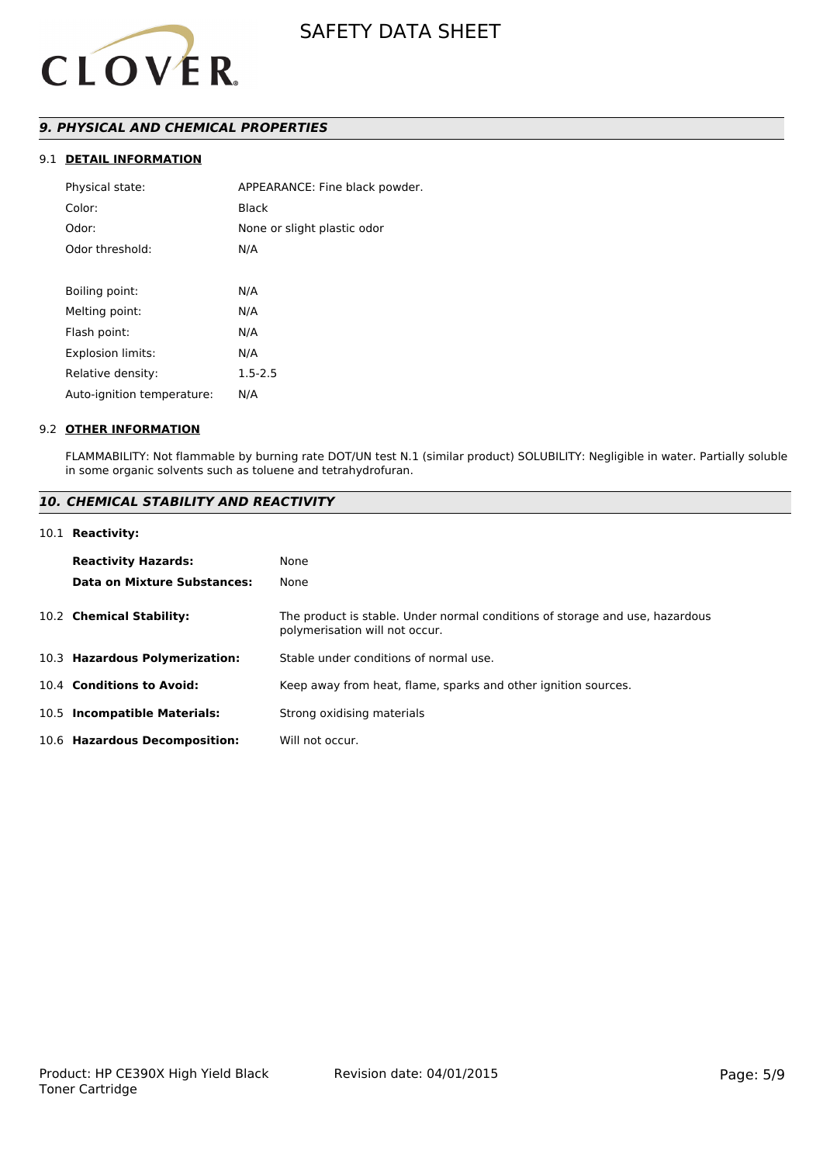

## *9. PHYSICAL AND CHEMICAL PROPERTIES*

## 9.1 **DETAIL INFORMATION**

| Physical state:            | APPEARANCE: Fine black powder. |
|----------------------------|--------------------------------|
| Color:                     | Black                          |
| Odor:                      | None or slight plastic odor    |
| Odor threshold:            | N/A                            |
|                            |                                |
| Boiling point:             | N/A                            |
| Melting point:             | N/A                            |
| Flash point:               | N/A                            |
| <b>Explosion limits:</b>   | N/A                            |
| Relative density:          | $1.5 - 2.5$                    |
| Auto-ignition temperature: | N/A                            |
|                            |                                |

#### 9.2 **OTHER INFORMATION**

FLAMMABILITY: Not flammable by burning rate DOT/UN test N.1 (similar product) SOLUBILITY: Negligible in water. Partially soluble in some organic solvents such as toluene and tetrahydrofuran.

## *10. CHEMICAL STABILITY AND REACTIVITY*

#### 10.1 **Reactivity:**

| <b>Reactivity Hazards:</b><br>Data on Mixture Substances: | None<br>None                                                                                                   |
|-----------------------------------------------------------|----------------------------------------------------------------------------------------------------------------|
| 10.2 Chemical Stability:                                  | The product is stable. Under normal conditions of storage and use, hazardous<br>polymerisation will not occur. |
| 10.3 Hazardous Polymerization:                            | Stable under conditions of normal use.                                                                         |
| 10.4 Conditions to Avoid:                                 | Keep away from heat, flame, sparks and other ignition sources.                                                 |
| 10.5 Incompatible Materials:                              | Strong oxidising materials                                                                                     |
| 10.6 Hazardous Decomposition:                             | Will not occur.                                                                                                |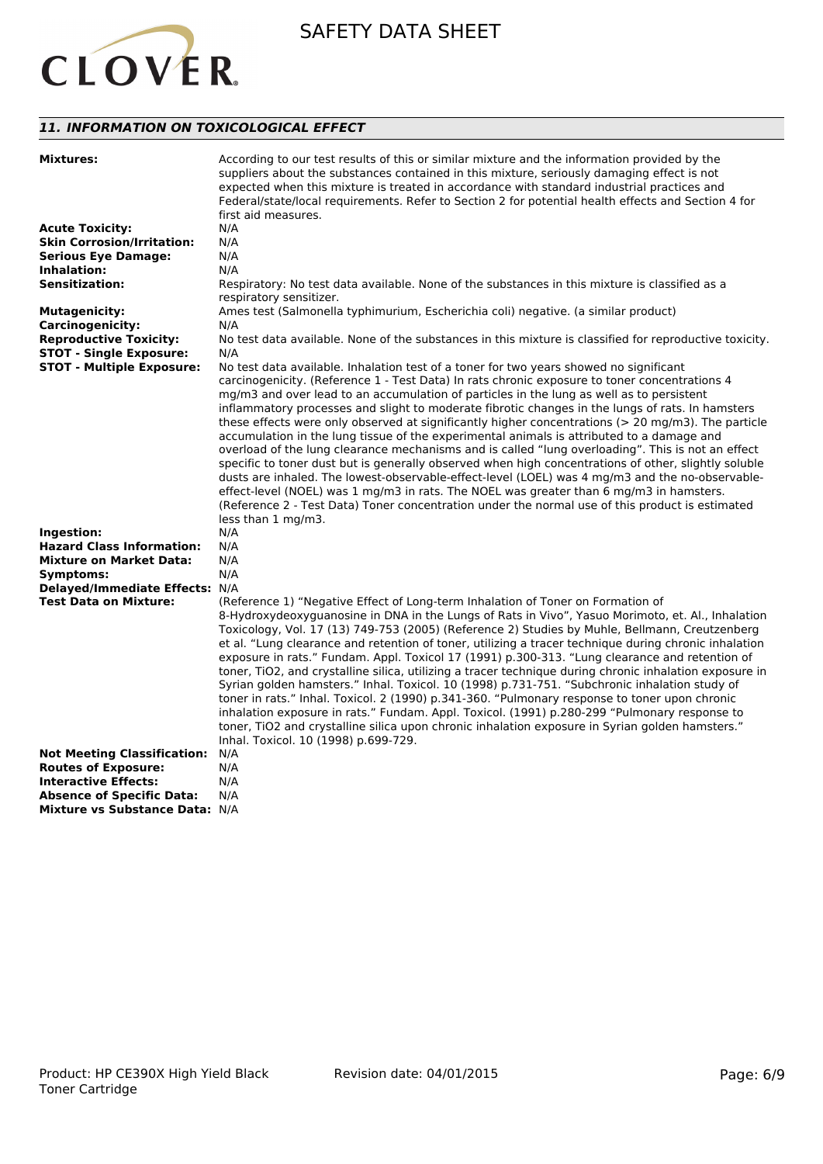

## *11. INFORMATION ON TOXICOLOGICAL EFFECT*

| <b>Mixtures:</b>                                                                                                     | According to our test results of this or similar mixture and the information provided by the<br>suppliers about the substances contained in this mixture, seriously damaging effect is not<br>expected when this mixture is treated in accordance with standard industrial practices and<br>Federal/state/local requirements. Refer to Section 2 for potential health effects and Section 4 for<br>first aid measures.                                                                                                                                                                                                                                                                                                                                                                                                                                                                                                                                                                                                                                                                                                                              |
|----------------------------------------------------------------------------------------------------------------------|-----------------------------------------------------------------------------------------------------------------------------------------------------------------------------------------------------------------------------------------------------------------------------------------------------------------------------------------------------------------------------------------------------------------------------------------------------------------------------------------------------------------------------------------------------------------------------------------------------------------------------------------------------------------------------------------------------------------------------------------------------------------------------------------------------------------------------------------------------------------------------------------------------------------------------------------------------------------------------------------------------------------------------------------------------------------------------------------------------------------------------------------------------|
| <b>Acute Toxicity:</b>                                                                                               | N/A                                                                                                                                                                                                                                                                                                                                                                                                                                                                                                                                                                                                                                                                                                                                                                                                                                                                                                                                                                                                                                                                                                                                                 |
| <b>Skin Corrosion/Irritation:</b>                                                                                    | N/A                                                                                                                                                                                                                                                                                                                                                                                                                                                                                                                                                                                                                                                                                                                                                                                                                                                                                                                                                                                                                                                                                                                                                 |
| <b>Serious Eye Damage:</b>                                                                                           | N/A                                                                                                                                                                                                                                                                                                                                                                                                                                                                                                                                                                                                                                                                                                                                                                                                                                                                                                                                                                                                                                                                                                                                                 |
| Inhalation:                                                                                                          | N/A                                                                                                                                                                                                                                                                                                                                                                                                                                                                                                                                                                                                                                                                                                                                                                                                                                                                                                                                                                                                                                                                                                                                                 |
| <b>Sensitization:</b>                                                                                                | Respiratory: No test data available. None of the substances in this mixture is classified as a                                                                                                                                                                                                                                                                                                                                                                                                                                                                                                                                                                                                                                                                                                                                                                                                                                                                                                                                                                                                                                                      |
|                                                                                                                      | respiratory sensitizer.                                                                                                                                                                                                                                                                                                                                                                                                                                                                                                                                                                                                                                                                                                                                                                                                                                                                                                                                                                                                                                                                                                                             |
|                                                                                                                      |                                                                                                                                                                                                                                                                                                                                                                                                                                                                                                                                                                                                                                                                                                                                                                                                                                                                                                                                                                                                                                                                                                                                                     |
| <b>Mutagenicity:</b>                                                                                                 | Ames test (Salmonella typhimurium, Escherichia coli) negative. (a similar product)                                                                                                                                                                                                                                                                                                                                                                                                                                                                                                                                                                                                                                                                                                                                                                                                                                                                                                                                                                                                                                                                  |
| <b>Carcinogenicity:</b>                                                                                              | N/A                                                                                                                                                                                                                                                                                                                                                                                                                                                                                                                                                                                                                                                                                                                                                                                                                                                                                                                                                                                                                                                                                                                                                 |
| <b>Reproductive Toxicity:</b>                                                                                        | No test data available. None of the substances in this mixture is classified for reproductive toxicity.                                                                                                                                                                                                                                                                                                                                                                                                                                                                                                                                                                                                                                                                                                                                                                                                                                                                                                                                                                                                                                             |
| <b>STOT - Single Exposure:</b>                                                                                       | N/A                                                                                                                                                                                                                                                                                                                                                                                                                                                                                                                                                                                                                                                                                                                                                                                                                                                                                                                                                                                                                                                                                                                                                 |
| <b>STOT - Multiple Exposure:</b><br>Ingestion:<br><b>Hazard Class Information:</b><br><b>Mixture on Market Data:</b> | No test data available. Inhalation test of a toner for two years showed no significant<br>carcinogenicity. (Reference 1 - Test Data) In rats chronic exposure to toner concentrations 4<br>mg/m3 and over lead to an accumulation of particles in the lung as well as to persistent<br>inflammatory processes and slight to moderate fibrotic changes in the lungs of rats. In hamsters<br>these effects were only observed at significantly higher concentrations (> 20 mg/m3). The particle<br>accumulation in the lung tissue of the experimental animals is attributed to a damage and<br>overload of the lung clearance mechanisms and is called "lung overloading". This is not an effect<br>specific to toner dust but is generally observed when high concentrations of other, slightly soluble<br>dusts are inhaled. The lowest-observable-effect-level (LOEL) was 4 mg/m3 and the no-observable-<br>effect-level (NOEL) was 1 mg/m3 in rats. The NOEL was greater than 6 mg/m3 in hamsters.<br>(Reference 2 - Test Data) Toner concentration under the normal use of this product is estimated<br>less than 1 mg/m3.<br>N/A<br>N/A<br>N/A |
| Symptoms:                                                                                                            | N/A                                                                                                                                                                                                                                                                                                                                                                                                                                                                                                                                                                                                                                                                                                                                                                                                                                                                                                                                                                                                                                                                                                                                                 |
| Delayed/Immediate Effects: N/A                                                                                       |                                                                                                                                                                                                                                                                                                                                                                                                                                                                                                                                                                                                                                                                                                                                                                                                                                                                                                                                                                                                                                                                                                                                                     |
| <b>Test Data on Mixture:</b>                                                                                         | (Reference 1) "Negative Effect of Long-term Inhalation of Toner on Formation of<br>8-Hydroxydeoxyguanosine in DNA in the Lungs of Rats in Vivo", Yasuo Morimoto, et. Al., Inhalation<br>Toxicology, Vol. 17 (13) 749-753 (2005) (Reference 2) Studies by Muhle, Bellmann, Creutzenberg<br>et al. "Lung clearance and retention of toner, utilizing a tracer technique during chronic inhalation<br>exposure in rats." Fundam. Appl. Toxicol 17 (1991) p.300-313. "Lung clearance and retention of<br>toner, TiO2, and crystalline silica, utilizing a tracer technique during chronic inhalation exposure in<br>Syrian golden hamsters." Inhal. Toxicol. 10 (1998) p.731-751. "Subchronic inhalation study of<br>toner in rats." Inhal. Toxicol. 2 (1990) p.341-360. "Pulmonary response to toner upon chronic<br>inhalation exposure in rats." Fundam. Appl. Toxicol. (1991) p.280-299 "Pulmonary response to<br>toner, TiO2 and crystalline silica upon chronic inhalation exposure in Syrian golden hamsters."<br>Inhal. Toxicol. 10 (1998) p.699-729.                                                                                           |
| <b>Not Meeting Classification:</b>                                                                                   | N/A                                                                                                                                                                                                                                                                                                                                                                                                                                                                                                                                                                                                                                                                                                                                                                                                                                                                                                                                                                                                                                                                                                                                                 |
| <b>Routes of Exposure:</b>                                                                                           | N/A                                                                                                                                                                                                                                                                                                                                                                                                                                                                                                                                                                                                                                                                                                                                                                                                                                                                                                                                                                                                                                                                                                                                                 |
| <b>Interactive Effects:</b>                                                                                          | N/A                                                                                                                                                                                                                                                                                                                                                                                                                                                                                                                                                                                                                                                                                                                                                                                                                                                                                                                                                                                                                                                                                                                                                 |
| <b>Absence of Specific Data:</b>                                                                                     | N/A                                                                                                                                                                                                                                                                                                                                                                                                                                                                                                                                                                                                                                                                                                                                                                                                                                                                                                                                                                                                                                                                                                                                                 |
| <b>Mixture vs Substance Data: N/A</b>                                                                                |                                                                                                                                                                                                                                                                                                                                                                                                                                                                                                                                                                                                                                                                                                                                                                                                                                                                                                                                                                                                                                                                                                                                                     |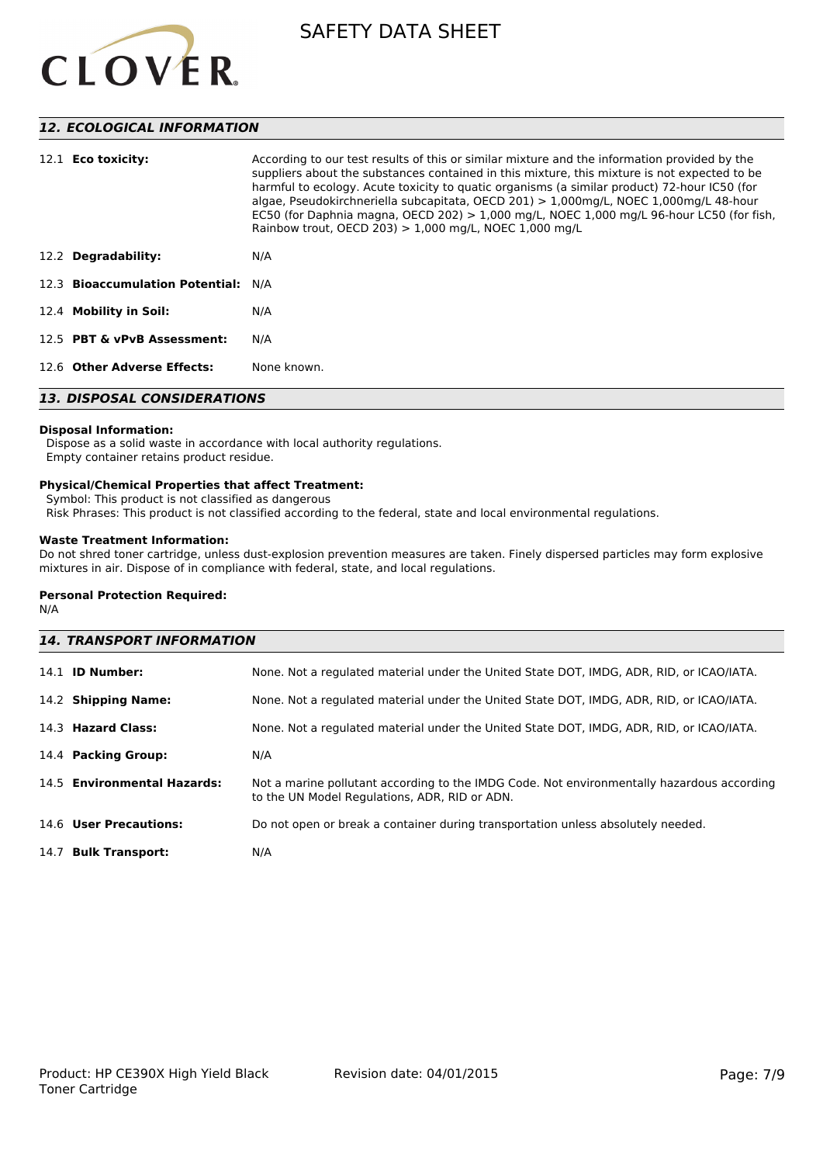

## *12. ECOLOGICAL INFORMATION*

| 12.1 <b>Eco toxicity:</b>           | According to our test results of this or similar mixture and the information provided by the<br>suppliers about the substances contained in this mixture, this mixture is not expected to be<br>harmful to ecology. Acute toxicity to quatic organisms (a similar product) 72-hour IC50 (for<br>algae, Pseudokirchneriella subcapitata, OECD 201) > 1,000mg/L, NOEC 1,000mg/L 48-hour<br>EC50 (for Daphnia magna, OECD 202) > 1,000 mg/L, NOEC 1,000 mg/L 96-hour LC50 (for fish,<br>Rainbow trout, OECD 203) $> 1,000$ mg/L, NOEC 1,000 mg/L |  |
|-------------------------------------|-----------------------------------------------------------------------------------------------------------------------------------------------------------------------------------------------------------------------------------------------------------------------------------------------------------------------------------------------------------------------------------------------------------------------------------------------------------------------------------------------------------------------------------------------|--|
| 12.2 Degradability:                 | N/A                                                                                                                                                                                                                                                                                                                                                                                                                                                                                                                                           |  |
| 12.3 Bioaccumulation Potential: N/A |                                                                                                                                                                                                                                                                                                                                                                                                                                                                                                                                               |  |
| 12.4 Mobility in Soil:              | N/A                                                                                                                                                                                                                                                                                                                                                                                                                                                                                                                                           |  |
| 12.5 PBT & vPvB Assessment:         | N/A                                                                                                                                                                                                                                                                                                                                                                                                                                                                                                                                           |  |
| 12.6 Other Adverse Effects:         | None known.                                                                                                                                                                                                                                                                                                                                                                                                                                                                                                                                   |  |
| <b>13. DISPOSAL CONSIDERATIONS</b>  |                                                                                                                                                                                                                                                                                                                                                                                                                                                                                                                                               |  |

## **Disposal Information:**

 Dispose as a solid waste in accordance with local authority regulations. Empty container retains product residue.

#### **Physical/Chemical Properties that affect Treatment:**

Symbol: This product is not classified as dangerous

Risk Phrases: This product is not classified according to the federal, state and local environmental regulations.

### **Waste Treatment Information:**

Do not shred toner cartridge, unless dust-explosion prevention measures are taken. Finely dispersed particles may form explosive mixtures in air. Dispose of in compliance with federal, state, and local regulations.

#### **Personal Protection Required:**

N/A

| <b>14. TRANSPORT INFORMATION</b> |                                                                                                                                             |  |
|----------------------------------|---------------------------------------------------------------------------------------------------------------------------------------------|--|
| 14.1 <b>ID Number:</b>           | None. Not a regulated material under the United State DOT, IMDG, ADR, RID, or ICAO/IATA.                                                    |  |
| 14.2 Shipping Name:              | None. Not a regulated material under the United State DOT, IMDG, ADR, RID, or ICAO/IATA.                                                    |  |
| 14.3 Hazard Class:               | None. Not a regulated material under the United State DOT, IMDG, ADR, RID, or ICAO/IATA.                                                    |  |
| 14.4 Packing Group:              | N/A                                                                                                                                         |  |
| 14.5 Environmental Hazards:      | Not a marine pollutant according to the IMDG Code. Not environmentally hazardous according<br>to the UN Model Regulations, ADR, RID or ADN. |  |
| 14.6 User Precautions:           | Do not open or break a container during transportation unless absolutely needed.                                                            |  |
| 14.7 Bulk Transport:             | N/A                                                                                                                                         |  |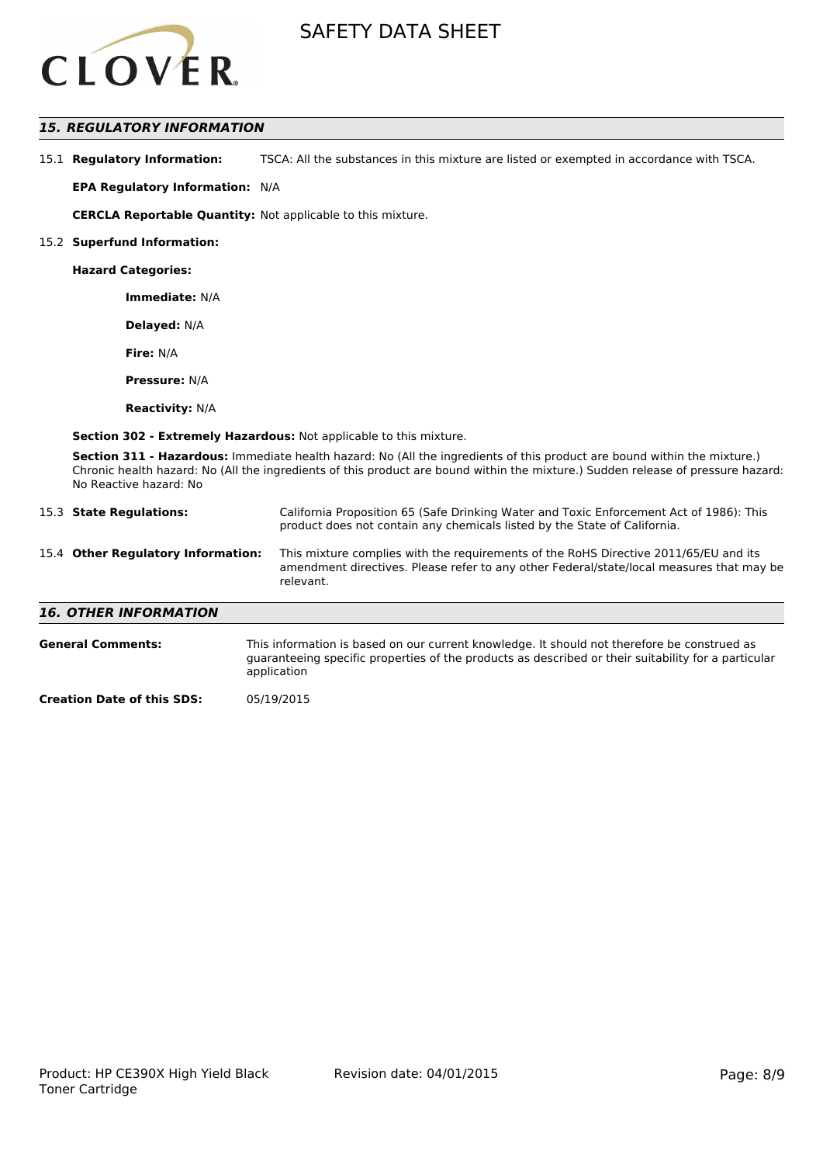

## *15. REGULATORY INFORMATION*

| 15.1 Regulatory Information: | TSCA: All the substances in this mixture are listed or exempted in accordance with TSCA. |
|------------------------------|------------------------------------------------------------------------------------------|
|------------------------------|------------------------------------------------------------------------------------------|

**EPA Regulatory Information:** N/A

**CERCLA Reportable Quantity:** Not applicable to this mixture.

#### 15.2 **Superfund Information:**

**Hazard Categories:**

**Immediate:** N/A

**Delayed:** N/A

**Fire:** N/A

**Pressure:** N/A

**Reactivity:** N/A

**Section 302 - Extremely Hazardous:** Not applicable to this mixture.

**Section 311 - Hazardous:** Immediate health hazard: No (All the ingredients of this product are bound within the mixture.) Chronic health hazard: No (All the ingredients of this product are bound within the mixture.) Sudden release of pressure hazard: No Reactive hazard: No

| 15.3 State Regulations:            | California Proposition 65 (Safe Drinking Water and Toxic Enforcement Act of 1986): This<br>product does not contain any chemicals listed by the State of California.                               |
|------------------------------------|----------------------------------------------------------------------------------------------------------------------------------------------------------------------------------------------------|
| 15.4 Other Regulatory Information: | This mixture complies with the requirements of the RoHS Directive 2011/65/EU and its<br>amendment directives. Please refer to any other Federal/state/local measures that may be<br>relevant.      |
| <b>16. OTHER INFORMATION</b>       |                                                                                                                                                                                                    |
| <b>General Comments:</b>           | This information is based on our current knowledge. It should not therefore be construed as<br>quaranteeing creejfie properties of the products as described or their quitability for a particular |

guaranteeing specific properties of the products as described or their suitability for a particular application

**Creation Date of this SDS:** 05/19/2015